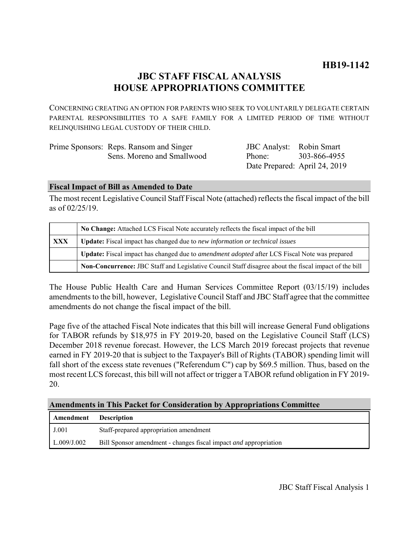# **JBC STAFF FISCAL ANALYSIS HOUSE APPROPRIATIONS COMMITTEE**

CONCERNING CREATING AN OPTION FOR PARENTS WHO SEEK TO VOLUNTARILY DELEGATE CERTAIN PARENTAL RESPONSIBILITIES TO A SAFE FAMILY FOR A LIMITED PERIOD OF TIME WITHOUT RELINQUISHING LEGAL CUSTODY OF THEIR CHILD.

| Prime Sponsors: Reps. Ransom and Singer | <b>JBC</b> Analyst: Robin Smart |                               |
|-----------------------------------------|---------------------------------|-------------------------------|
| Sens. Moreno and Smallwood              | Phone <sup>.</sup>              | 303-866-4955                  |
|                                         |                                 | Date Prepared: April 24, 2019 |

#### **Fiscal Impact of Bill as Amended to Date**

The most recent Legislative Council Staff Fiscal Note (attached) reflects the fiscal impact of the bill as of 02/25/19.

|            | No Change: Attached LCS Fiscal Note accurately reflects the fiscal impact of the bill                       |  |
|------------|-------------------------------------------------------------------------------------------------------------|--|
| <b>XXX</b> | Update: Fiscal impact has changed due to new information or technical issues                                |  |
|            | <b>Update:</b> Fiscal impact has changed due to <i>amendment adopted</i> after LCS Fiscal Note was prepared |  |
|            | Non-Concurrence: JBC Staff and Legislative Council Staff disagree about the fiscal impact of the bill       |  |

The House Public Health Care and Human Services Committee Report (03/15/19) includes amendments to the bill, however, Legislative Council Staff and JBC Staff agree that the committee amendments do not change the fiscal impact of the bill.

Page five of the attached Fiscal Note indicates that this bill will increase General Fund obligations for TABOR refunds by \$18,975 in FY 2019-20, based on the Legislative Council Staff (LCS) December 2018 revenue forecast. However, the LCS March 2019 forecast projects that revenue earned in FY 2019-20 that is subject to the Taxpayer's Bill of Rights (TABOR) spending limit will fall short of the excess state revenues ("Referendum C") cap by \$69.5 million. Thus, based on the most recent LCS forecast, this bill will not affect or trigger a TABOR refund obligation in FY 2019- 20.

# **Amendments in This Packet for Consideration by Appropriations Committee**

| Amendment   | <b>Description</b>                                                      |
|-------------|-------------------------------------------------------------------------|
| J.001       | Staff-prepared appropriation amendment                                  |
| L.009/J.002 | Bill Sponsor amendment - changes fiscal impact <i>and</i> appropriation |